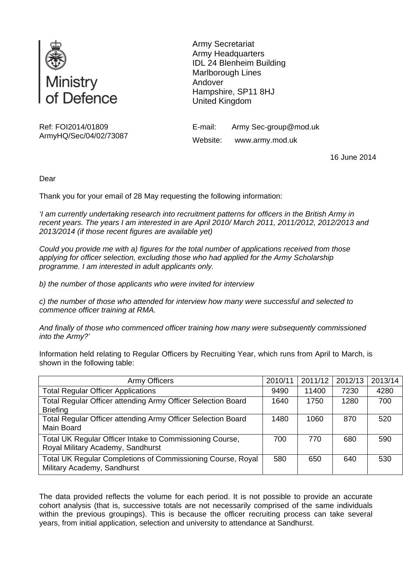

Ref: FOI2014/01809 ArmyHQ/Sec/04/02/73087 Army Secretariat Army Headquarters IDL 24 Blenheim Building Marlborough Lines Andover Hampshire, SP11 8HJ United Kingdom

E-mail: Army Sec-group@mod.uk Website: www.army.mod.uk

16 June 2014

Dear

Thank you for your email of 28 May requesting the following information:

*'I am currently undertaking research into recruitment patterns for officers in the British Army in recent years. The years I am interested in are April 2010/ March 2011, 2011/2012, 2012/2013 and 2013/2014 (if those recent figures are available yet)* 

*Could you provide me with a) figures for the total number of applications received from those applying for officer selection, excluding those who had applied for the Army Scholarship programme. I am interested in adult applicants only.* 

*b) the number of those applicants who were invited for interview* 

*c) the number of those who attended for interview how many were successful and selected to commence officer training at RMA.* 

*And finally of those who commenced officer training how many were subsequently commissioned into the Army?'* 

Information held relating to Regular Officers by Recruiting Year, which runs from April to March, is shown in the following table:

| <b>Army Officers</b>                                                                          | 2010/11 | 2011/12 | 2012/13 | 2013/14 |
|-----------------------------------------------------------------------------------------------|---------|---------|---------|---------|
| <b>Total Regular Officer Applications</b>                                                     | 9490    | 11400   | 7230    | 4280    |
| Total Regular Officer attending Army Officer Selection Board<br><b>Briefing</b>               | 1640    | 1750    | 1280    | 700     |
| Total Regular Officer attending Army Officer Selection Board<br>Main Board                    | 1480    | 1060    | 870     | 520     |
| Total UK Regular Officer Intake to Commissioning Course,<br>Royal Military Academy, Sandhurst | 700     | 770     | 680     | 590     |
| Total UK Regular Completions of Commissioning Course, Royal<br>Military Academy, Sandhurst    | 580     | 650     | 640     | 530     |

The data provided reflects the volume for each period. It is not possible to provide an accurate cohort analysis (that is, successive totals are not necessarily comprised of the same individuals within the previous groupings). This is because the officer recruiting process can take several years, from initial application, selection and university to attendance at Sandhurst.